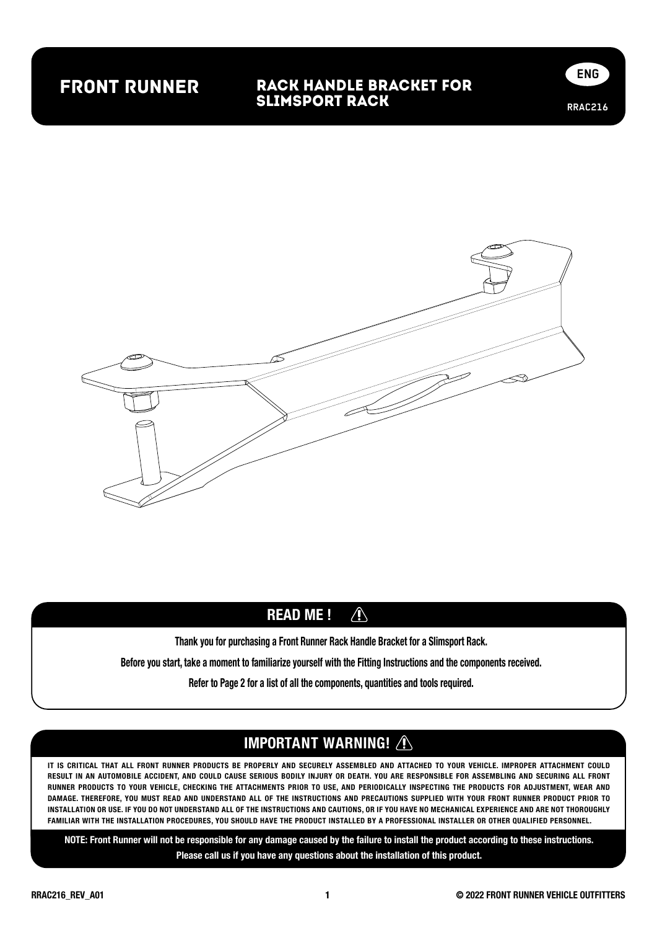## front runner

#### RACK Handle BRACKET FOR SLIMSPORT RACK





#### $\bigwedge$ READ ME !

Thank you for purchasing a Front Runner Rack Handle Bracket for a Slimsport Rack.

Before you start, take a moment to familiarize yourself with the Fitting Instructions and the components received.

Refer to Page 2 for a list of all the components, quantities and tools required.

#### IMPORTANT WARNING! /

IT IS CRITICAL THAT ALL FRONT RUNNER PRODUCTS BE PROPERLY AND SECURELY ASSEMBLED AND ATTACHED TO YOUR VEHICLE. IMPROPER ATTACHMENT COULD RESULT IN AN AUTOMOBILE ACCIDENT, AND COULD CAUSE SERIOUS BODILY INJURY OR DEATH. YOU ARE RESPONSIBLE FOR ASSEMBLING AND SECURING ALL FRONT RUNNER PRODUCTS TO YOUR VEHICLE, CHECKING THE ATTACHMENTS PRIOR TO USE, AND PERIODICALLY INSPECTING THE PRODUCTS FOR ADJUSTMENT, WEAR AND DAMAGE. THEREFORE, YOU MUST READ AND UNDERSTAND ALL OF THE INSTRUCTIONS AND PRECAUTIONS SUPPLIED WITH YOUR FRONT RUNNER PRODUCT PRIOR TO INSTALLATION OR USE. IF YOU DO NOT UNDERSTAND ALL OF THE INSTRUCTIONS AND CAUTIONS, OR IF YOU HAVE NO MECHANICAL EXPERIENCE AND ARE NOT THOROUGHLY FAMILIAR WITH THE INSTALLATION PROCEDURES, YOU SHOULD HAVE THE PRODUCT INSTALLED BY A PROFESSIONAL INSTALLER OR OTHER QUALIFIED PERSONNEL.

NOTE: Front Runner will not be responsible for any damage caused by the failure to install the product according to these instructions. Please call us if you have any questions about the installation of this product.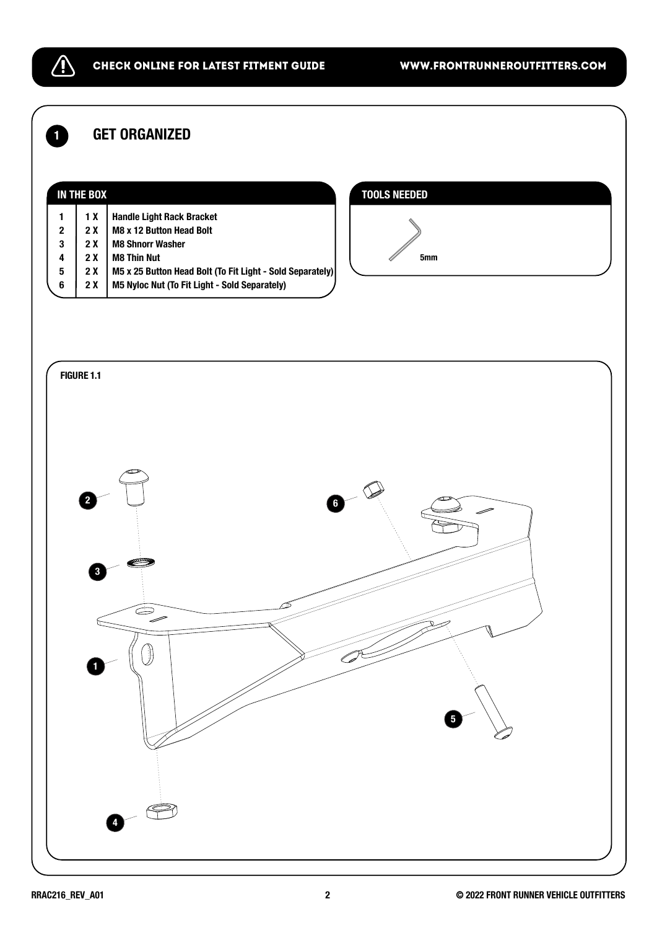### **1** GET ORGANIZED

 $\bigwedge$ 

|              | IN THE BOX |                                                           |  |
|--------------|------------|-----------------------------------------------------------|--|
|              | 1 X        | <b>Handle Light Rack Bracket</b>                          |  |
| $\mathbf{2}$ | 2 X        | M8 x 12 Button Head Bolt                                  |  |
| $\mathbf 3$  | 2 X        | <b>M8 Shnorr Washer</b>                                   |  |
| 4            | 2 X        | <b>M8 Thin Nut</b>                                        |  |
| 5            | 2 X        | M5 x 25 Button Head Bolt (To Fit Light - Sold Separately) |  |
| 6            | 2 X        | M5 Nyloc Nut (To Fit Light - Sold Separately)             |  |
|              |            |                                                           |  |

#### TOOLS NEEDED



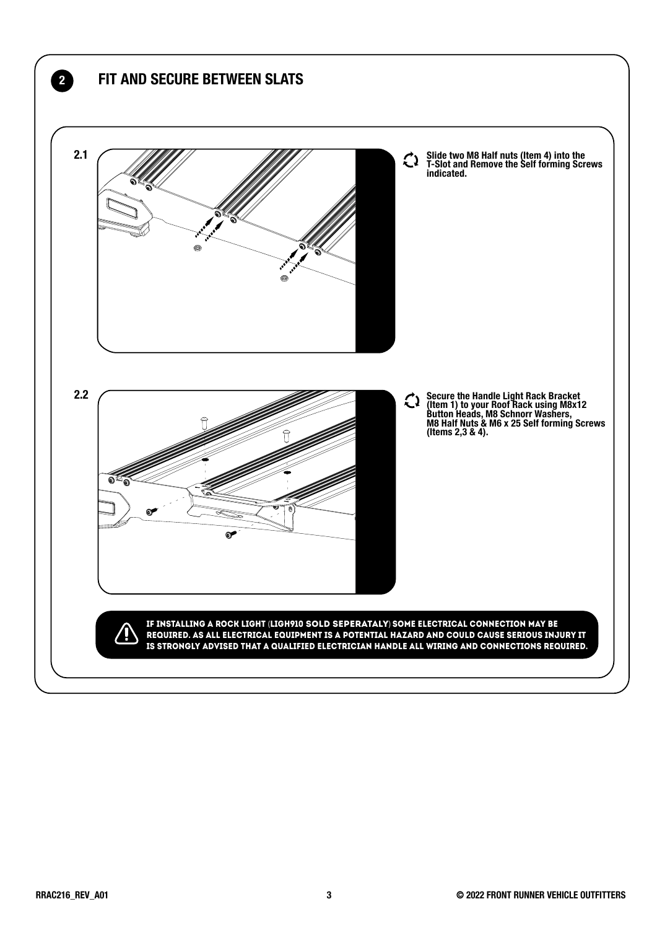